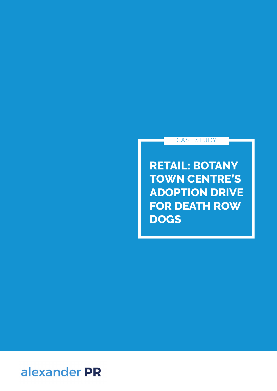## CASE STUDY

**RETAIL: BOTANY TOWN CENTRE'S ADOPTION DRIVE FOR DEATH ROW DOGS**

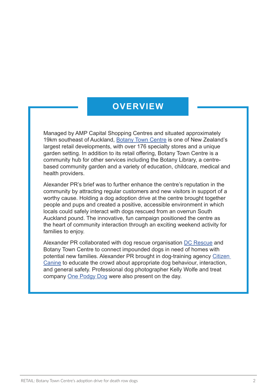## **OVERVIEW**

Managed by AMP Capital Shopping Centres and situated approximately 19km southeast of Auckland, Botany Town Centre is one of New Zealand's largest retail developments, with over 176 specialty stores and a unique garden setting. In addition to its retail offering, Botany Town Centre is a community hub for other services including the Botany Library, a centrebased community garden and a variety of education, childcare, medical and health providers.

Alexander PR's brief was to further enhance the centre's reputation in the community by attracting regular customers and new visitors in support of a worthy cause. Holding a dog adoption drive at the centre brought together people and pups and created a positive, accessible environment in which locals could safely interact with dogs rescued from an overrun South Auckland pound. The innovative, fun campaign positioned the centre as the heart of community interaction through an exciting weekend activity for families to enjoy.

Alexander PR collaborated with dog rescue organisation DC Rescue and Botany Town Centre to connect impounded dogs in need of homes with potential new families. Alexander PR brought in dog-training agency Citizen Canine to educate the crowd about appropriate dog behaviour, interaction, and general safety. Professional dog photographer Kelly Wolfe and treat company One Podgy Dog were also present on the day.